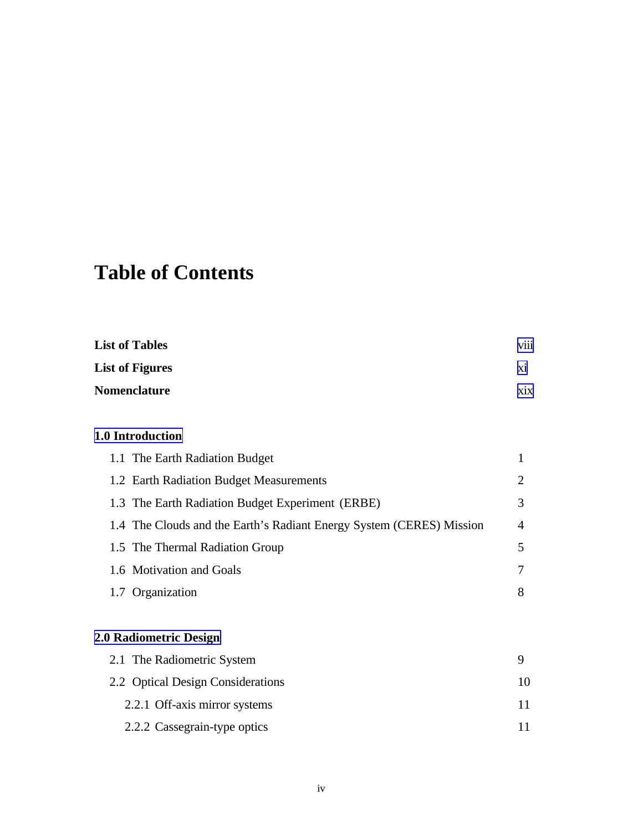# **Table of Contents**

| <b>List of Tables</b>  | $\cdots$<br><b>V111</b> |
|------------------------|-------------------------|
| <b>List of Figures</b> | X1                      |
| <b>Nomenclature</b>    | X <sub>1</sub> X        |

#### **1.0 Introduction**

| 1.1 The Earth Radiation Budget                                       |   |
|----------------------------------------------------------------------|---|
| 1.2 Earth Radiation Budget Measurements                              | 2 |
| 1.3 The Earth Radiation Budget Experiment (ERBE)                     | 3 |
| 1.4 The Clouds and the Earth's Radiant Energy System (CERES) Mission | 4 |
| 1.5 The Thermal Radiation Group                                      | 5 |
| 1.6 Motivation and Goals                                             | 7 |
| 1.7 Organization                                                     | 8 |

## **2.0 Radiometric Design**

| 2.1 The Radiometric System        |    |
|-----------------------------------|----|
| 2.2 Optical Design Considerations | 10 |
| 2.2.1 Off-axis mirror systems     |    |
| 2.2.2 Cassegrain-type optics      |    |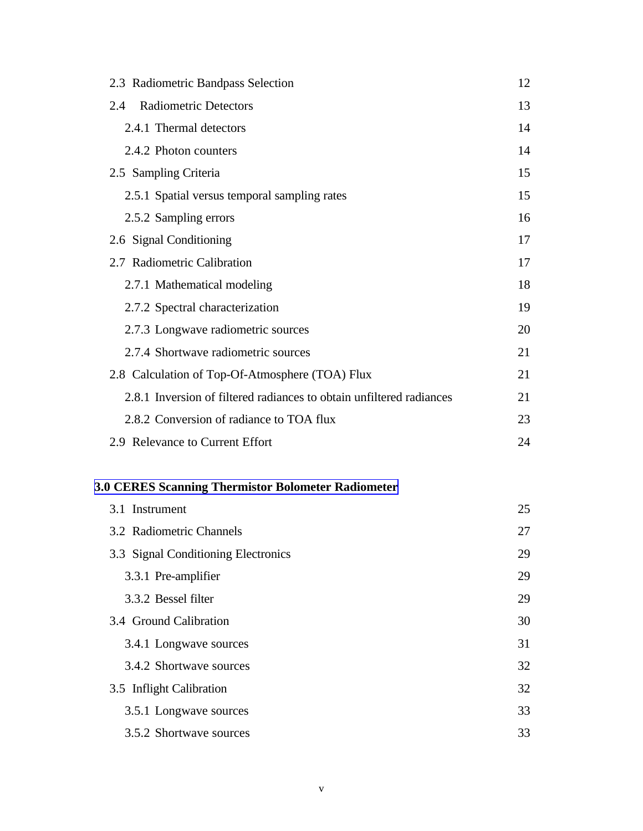| 2.3 Radiometric Bandpass Selection                                   | 12 |
|----------------------------------------------------------------------|----|
| <b>Radiometric Detectors</b><br>2.4                                  | 13 |
| 2.4.1 Thermal detectors                                              | 14 |
| 2.4.2 Photon counters                                                | 14 |
| 2.5 Sampling Criteria                                                | 15 |
| 2.5.1 Spatial versus temporal sampling rates                         | 15 |
| 2.5.2 Sampling errors                                                | 16 |
| 2.6 Signal Conditioning                                              | 17 |
| 2.7 Radiometric Calibration                                          | 17 |
| 2.7.1 Mathematical modeling                                          | 18 |
| 2.7.2 Spectral characterization                                      | 19 |
| 2.7.3 Longwave radiometric sources                                   | 20 |
| 2.7.4 Shortwave radiometric sources                                  | 21 |
| 2.8 Calculation of Top-Of-Atmosphere (TOA) Flux                      | 21 |
| 2.8.1 Inversion of filtered radiances to obtain unfiltered radiances | 21 |
| 2.8.2 Conversion of radiance to TOA flux                             | 23 |
| 2.9 Relevance to Current Effort                                      | 24 |

## **3.0 CERES Scanning Thermistor Bolometer Radiometer**

| 3.1 Instrument                      | 25 |
|-------------------------------------|----|
| 3.2 Radiometric Channels            | 27 |
| 3.3 Signal Conditioning Electronics | 29 |
| 3.3.1 Pre-amplifier                 | 29 |
| 3.3.2 Bessel filter                 | 29 |
| 3.4 Ground Calibration              | 30 |
| 3.4.1 Longwave sources              | 31 |
| 3.4.2 Shortwave sources             | 32 |
| 3.5 Inflight Calibration            | 32 |
| 3.5.1 Longwave sources              | 33 |
| 3.5.2 Shortwave sources             | 33 |
|                                     |    |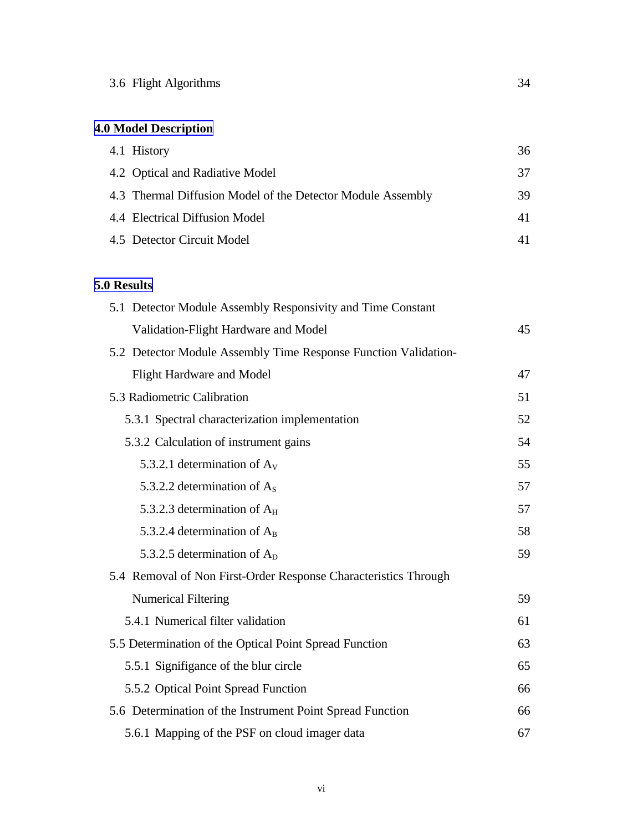## **4.0 Model Description**

| 4.1 History                                                 | 36 |
|-------------------------------------------------------------|----|
| 4.2 Optical and Radiative Model                             | 37 |
| 4.3 Thermal Diffusion Model of the Detector Module Assembly | 39 |
| 4.4 Electrical Diffusion Model                              | 41 |
| 4.5 Detector Circuit Model                                  |    |

#### **5.0 Results**

| 5.1 Detector Module Assembly Responsivity and Time Constant     |    |
|-----------------------------------------------------------------|----|
| Validation-Flight Hardware and Model                            | 45 |
| 5.2 Detector Module Assembly Time Response Function Validation- |    |
| Flight Hardware and Model                                       | 47 |
| 5.3 Radiometric Calibration                                     | 51 |
| 5.3.1 Spectral characterization implementation                  | 52 |
| 5.3.2 Calculation of instrument gains                           | 54 |
| 5.3.2.1 determination of $A_V$                                  | 55 |
| 5.3.2.2 determination of $A_s$                                  | 57 |
| 5.3.2.3 determination of $A_H$                                  | 57 |
| 5.3.2.4 determination of $A_B$                                  | 58 |
| 5.3.2.5 determination of $A_D$                                  | 59 |
| 5.4 Removal of Non First-Order Response Characteristics Through |    |
| <b>Numerical Filtering</b>                                      | 59 |
| 5.4.1 Numerical filter validation                               | 61 |
| 5.5 Determination of the Optical Point Spread Function          | 63 |
| 5.5.1 Signifigance of the blur circle                           | 65 |
| 5.5.2 Optical Point Spread Function                             | 66 |
| 5.6 Determination of the Instrument Point Spread Function       | 66 |
| 5.6.1 Mapping of the PSF on cloud imager data                   | 67 |